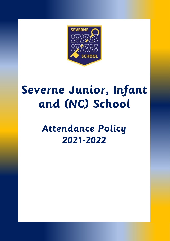

# **Severne Junior, Infant and (NC) School**

# **Attendance Policy 2021-2022**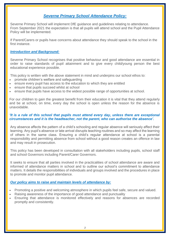# *Severne Primary School Attendance Policy:*

Severne Primary School will implement DfE guidance and guidelines relating to attendance. From September 2021 the expectation is that all pupils will attend school and the Pupil Attendance Policy will be implemented.

If Parent/Carers or pupils have concerns about attendance they should speak to the school in the first instance.

## *Introduction and Background:*

Severne Primary School recognises that positive behaviour and good attendance are essential in order to raise standards of pupil attainment and to give every child/young person the best educational experience possible.

This policy is written with the above statement in mind and underpins our school ethos to:

- promote children's welfare and safeguarding
- ensure every pupil has access to the education to which they are entitled
- ensure that pupils succeed whilst at school
- ensure that pupils have access to the widest possible range of opportunities at school.

For our children to gain the greatest benefit from their education it is vital that they attend regularly and be at school, on time, every day the school is open unless the reason for the absence is unavoidable.

#### *'It is a rule of this school that pupils must attend every day, unless there are exceptional circumstances and it is the headteacher, not the parent, who can authorise the absence'.*

Any absence affects the pattern of a child's schooling and regular absence will seriously affect their learning. Any pupil's absence or late arrival disrupts teaching routines and so may affect the learning of others in the same class. Ensuring a child's regular attendance at school is a parental responsibility and permitting absence from school without a good reason creates an offence in law and may result in prosecution.

This policy has been developed in consultation with all stakeholders including pupils, school staff and school Governors including Parent/Carer Governors.

It seeks to ensure that all parties involved in the practicalities of school attendance are aware and informed of attendance matters in school and to outline our school's commitment to attendance matters. It details the responsibilities of individuals and groups involved and the procedures in place to promote and monitor pupil attendance.

# *Our policy aims to raise and maintain levels of attendance by:*

- Promoting a positive and welcoming atmosphere in which pupils feel safe, secure and valued.
- Raising awareness of the importance of good attendance and punctuality
- Ensuring that attendance is monitored effectively and reasons for absences are recorded promptly and consistently.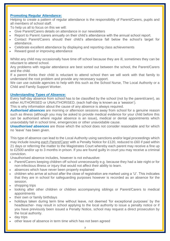#### **Promoting Regular Attendance:**

Helping to create a pattern of regular attendance is the responsibility of Parent/Carers, pupils and all members of school staff.

To help us all to focus on this we will:

- Give Parent/Carers details on attendance in our newsletters
- Report to Parent /carers annually on their child's attendance with the annual school report.
- Contact Parent/Carers should their child's attendance fall below the school's target for attendance.
- Celebrate excellent attendance by displaying and reporting class achievements
- Reward good or improving attendance

Whilst any child may occasionally have time off school because they are ill, sometimes they can be reluctant to attend school.

Any problems with regular attendance are best sorted out between the school, the Parent/Carers and the child.

If a parent thinks their child is reluctant to attend school then we will work with that family to understand the root problem and provide any necessary support.

We can use outside agencies to help with this such as the School Nurse, The Local Authority or a Child and Family Support Worker.

#### *Understanding Types of Absence:*

Every half-day absence from school has to be classified by the school (not by the parent/carer), as either AUTHORISED or UNAUTHORISED, (each half-day is known as a 'session').

This is why information about the cause of any absence is always required.

*Authorised absences* are morning or afternoon sessions away from school for a genuine reason such as illness (although you may be asked to provide medical evidence for your child before this can be authorised where regular absence is an issue), medical or dental appointments which unavoidably fall in school time, emergencies or other unavoidable cause.

**Unauthorised absences** are those which the school does not consider reasonable and for which no 'leave' has been given.

This type of absence can lead to the Local Authority using sanctions and/or legal proceedings which may include issuing *each Parent/Carer* with a Penalty Notice for £120, reduced to £60 if paid within 21 days or referring the matter to the Magistrates Court whereby each parent may receive a fine up to £2500 and/or up to 3 months in prison. If you are found guilty in court you may receive a criminal conviction.

Unauthorised absence includes, however is not exhaustive:

- Parent/Carers keeping children off school unnecessarily e.g. because they had a late night or for non-infectious illness or injury that would not affect their ability to learn.
- absences which have never been properly explained
- children who arrive at school after the close of registration are marked using a 'U'. This indicates that they are in school for safeguarding purposes however is recorded as an absence for the session.
- shopping trips
- looking after other children or children accompanying siblings or Parent/Carers to medical appointments
- their own or family birthdays
- holidays taken during term time without leave, not deemed 'for exceptional purposes' by the headteacher- may result in school applying to the local authority to issue a penalty notice or if you have previously been issued a Penalty Notice, school may request a direct prosecution by the local authority.
- day trips
- other leave of absence in term time which has not been agreed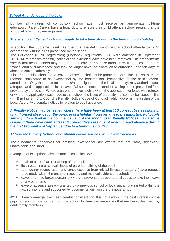#### *School Attendance and the Law:*

By law all children of compulsory school age must receive an appropriate full-time education. Parent/Carers have a legal duty to ensure their child attends school regularly at the school at which they are registered.

#### There is no entitlement in law for pupils to take time off during the term to go on holiday.

In addition, the Supreme Court has ruled that the definition of regular school attendance is "in accordance with the rules prescribed by the school".

The Education (Pupil Registration) (England) Regulations 2006 were amended in September 2013. All references to family holidays and extended leave have been removed. The amendments specify that headteachers may not grant any leave of absence during term time unless there are "exceptional circumstances" and they no longer have the discretion to authorise up to ten days of absence each academic year.

It is a rule of this school that a leave of absence shall not be granted in term time unless there are reasons considered to be exceptional by the headteacher, irrespective of the child's overall attendance. Only the headteacher or his/her designate (not the local authority) may authorise such a request and all applications for a leave of absence must be made in writing on the prescribed form provided by the school. Where a parent removes a child when the application for leave was refused or where no application was made to the school, the issue of a penalty notice may be issued in line with Birmingham City Council's Penalty Notice 'Code of Conduct', which governs the issuing of the Local Authority's penalty notices in relation to pupil absence.

*A Penalty Notice may be issued where there have been at least 10 consecutive sessions of unauthorised absence for the purpose of a holiday, however, due to the importance of pupils settling into school at the commencement of the school year, Penalty Notices may also be issued if there have been at least 6 consecutive sessions of unauthorised absence during the first two weeks of September due to a term-time holiday.*

#### *At Severne Primary School 'exceptional circumstances' will be interpreted as:*

The fundamental principles for defining 'exceptional' are events that are "rare, significant, unavoidable and short".

Examples of exceptional circumstances could include:

- $\triangleright$  death of parent/carer or sibling of the pupil
- $\triangleright$  life threatening or critical illness of parent or sibling of the pupil
- ➢ parent/carer recuperation and convalescence from critical illness or surgery (leave request to be made within 6 months of recovery and medical evidence required)
- $\triangleright$  leave for armed forces personnel who are prevented by operational duties to take their leave at any other time
- $\triangleright$  leave of absence already granted by a previous school or local authority (granted within the last six months and supported by documentation from the previous school)

*NOTE:* Family emergencies need careful consideration. It is not always in the best interests of the pupil nor appropriate for them to miss school for family emergencies that are being dealt with by adult family members.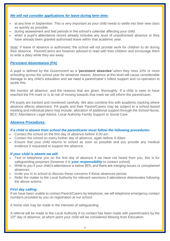## *We will not consider applications for leave during term time:*

- at any time in September. This is very important as your child needs to settle into their new class as quickly as possible.
- during assessment and test periods in the school's calendar affecting your child.
- when a pupil's attendance record already includes any level of unauthorised absence or they have already been granted authorised leave within that academic year.

*Note:* If leave of absence is authorised, the school will not provide work for children to do during their absence. Parent/Carers are however advised to read with their children and encourage them to write a diary while they are away.

#### *Persistent Absenteeism (PA)*

A pupil is defined by the Government as a **'persistent absentee'** when they miss 10% or more schooling across the school year for whatever reason. Absence at this level will cause considerable damage to any child's education and we need a parent/carer's fullest support and co-operation to tackle this.

We monitor all absence, and the reasons that are given, thoroughly. If a child is seen to have reached the PA mark or is at risk of moving towards that mark we will inform the parent/carer.

PA pupils are tracked and monitored carefully. We also combine this with academic tracking where absence affects attainment. PA pupils and their Parent/Carers may be subject to a school-based meeting and individual plans may include: allocation of additional support through the School Nurse, BCC Attendance Legal Advice, Local Authority Family Support or Social Care.

#### *Absence Procedures:*

#### *If a child is absent from school the parent/carer must follow the following procedures:*

- Contact the school on the first day of absence before *9:30 am*.
- Contact the school on every further day of absence, again before *9:30am*
- Ensure that your child returns to school as soon as possible and you provide any medical evidence if requested to support the absence.

#### *If your child is absent we will:*

- Text or telephone you on the first day of absence if we have not heard from you, this is for safeguarding purposes (however it is *your responsibility* to contact school)
- Write to you if your child's attendance is below 95% and there are merging issues or unexplained absences.
- Invite you in to school to discuss these concerns if these absences persist
- Refer the matter to the Local Authority for relevant sanctions if attendance deteriorates following the above actions

#### *First day calling:*

If we have been unable to contact Parent/Carers by telephone; we will telephone emergency contact numbers provided by you on registration at our school.

A home visit may be made in the interests of safeguarding.

A referral will be made to the Local Authority if no contact has been made with parent/carers by the 10<sup>th</sup> day of absence, at which point your child will be considered Missing from Education.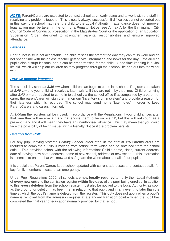*NOTE:* Parent/Carers are expected to contact school at an early stage and to work with the staff in resolving any problems together. This is nearly always successful. If difficulties cannot be sorted out in this way, the school may refer the child to the Local Authority. If attendance does not improve, legal action may be taken in the form of a Penalty Notice (see Annex A for the Birmingham City Council Code of Conduct), prosecution in the Magistrates Court or the application of an Education Supervision Order, designed to strengthen parental responsibilities and ensure improved attendance.

#### *Lateness*

Poor punctuality is not acceptable. If a child misses the start of the day they can miss work and do not spend time with their class teacher getting vital information and news for the day. Late arriving pupils also disrupt lessons, and it can be embarrassing for the child. Good time-keeping is a vital life skill which will help our children as they progress through their school life and out into the wider world.

#### *How we manage lateness:*

The school day starts at *8.30 am* when children can begin to come into school. Registers are taken at *8.40 am* and your child will receive a late mark 'L' if they are not in by that time. Children arriving after *8.40 am* are required to come in to school via the school office if accompanied by a parent or carer, the parent/carer will sign them in on our 'Inventory sign in system' and provide a reason for their lateness which is recorded. The school may send home 'late notes' in order to keep Parent/Carers and carers informed.

At *9.00am* the registers will be closed. In accordance with the Regulations, if your child arrives after that time they will receive a mark that shows them to be on site 'U', but this will **not** count as a present mark and it will mean they have an unauthorised absence. This may mean that you could face the possibility of being issued with a Penalty Notice if the problem persists.

# *Deletion from Roll:*

For any pupil leaving *Severne Primary School, other than at the end of Yr6* Parent/Carers are required to complete a 'Pupils moving from *school*' form which can be obtained from the school office. This provides school with the following information: Child's name, class, current address, date of leaving, new home address, name of new school, address of new school. This information is essential to ensure that we know and safeguard the whereabouts of all of our pupils.

It is crucial that Parent/Carers keep school updated with current addresses and contact details for key family members in case of an emergency.

Under Pupil Regulations 2006, all schools are now **legally required** to notify their Local Authority of **every new entry** to the admission register **within five days** of the pupil being enrolled. In addition to this, **every deletion** from the school register must also be notified to the Local Authority, as soon as the ground for deletion has been met in relation to that pupil, and in any event no later than the time at which the pupil's name is deleted from the register. This duty does not apply when a pupil's name is removed from the admission register at a standard transition point – when the pupil has completed the final year of education normally provided by that school.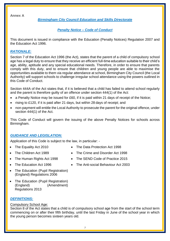**Annex A**

*Birmingham City Council Education and Skills Directorate*

*Penalty Notice – Code of Conduct*

This document is issued in compliance with the Education (Penalty Notices) Regulation 2007 and the Education Act 1996.

# *RATIONALE:*

Section 7 of the Education Act 1996 (the Act), states that the parent of a child of compulsory school age has a legal duty to ensure that they receive an efficient full-time education suitable to their child's age, ability, aptitude and any special educational needs. Therefore, in order to ensure that parents comply with this duty, and to ensure that children and young people are able to maximise the opportunities available to them via regular attendance at school, Birmingham City Council (the Local Authority) will support schools to challenge irregular school attendance using the powers outlined in this Code of Conduct.

Section 444A of the Act states that, if it is believed that a child has failed to attend school regularly and the parent is therefore guilty of an offence under section 444(1) of the Act:

- a Penalty Notice may be issued for £60, if it is paid within 21 days of receipt of the Notice;
- rising to £120, if it is paid after 21 days, but within 28 days of receipt; and
- non-payment will entitle the Local Authority to prosecute the parent for the original offence, under section 444(1) of the Act.

This Code of Conduct will govern the issuing of the above Penalty Notices for schools across Birmingham.

# *GUIDANCE AND LEGISLATION:*

Application of this Code is subject to the law, in particular: -

- 
- 
- 
- 
- The Education (Pupil Registration) (England) Regulations 2006
- The Education (Pupil Registration) (England) (Amendment) Regulations 2013

# *DEFINITIONS:*

#### Compulsory School Age:

Section 8 of the Act states that a child is of compulsory school age from the start of the school term commencing on or after their fifth birthday, until the last Friday in June of the school year in which the young person becomes sixteen years old.

- The Equality Act 2010 The Data Protection Act 1998
- The Children Act 1989 The Crime and Disorder Act 1998
- The Human Rights Act 1998 The SEND Code of Practice 2015
	- The Education Act 1996 The Anti-social Behaviour Act 2003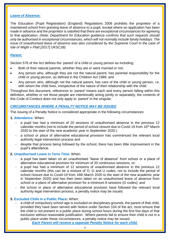#### *Leave of Absence:*

The Education (Pupil Registration) (England) Regulations 2006 prohibits the proprietor of a maintained school from granting leave of absence to a pupil, except where an application has been made in advance and the proprietor is satisfied that there are exceptional circumstances for agreeing to that application. *(Note: Department for Education guidance confirms that such requests should only be authorised in exceptional circumstances, which will not normally include family holidays. The issue of unauthorised leave of absence was also considered by the Supreme Court in the case of Isle of Wight v Platt [2017] UKSC28).*

# *Parent:*

Section 576 of the Act defines the *'parent'* of a child or young person as including:

- Both of their natural parents, whether they are or were married or not;
- Any person who, although they are not the natural parent, has parental responsibility for the child or young person, as defined in the Children Act 1989; and
- Any person who, although not the natural parent, has care of the child or young person, i.e. with whom the child lives, irrespective of the nature of their relationship with the child.

Throughout this document, references to *'parent'* means each and every person falling within this definition, whether or not those people are intentionally acting jointly or separately; the contents of this Code of Conduct does not only apply to *'parent'* in the singular.

# *CIRCUMSTANCES WHERE A PENALTY NOTICE MAY BE ISSUED*

The issuing of a Penalty Notice is considered appropriate in the following circumstances:

- **1. Attendance**: When:
	- a pupil has had a minimum of 20 sessions of unauthorised absence in the previous 12 calendar months (not to include the period of school closure due to Covid-19 from 16th March 2020 to the start of the new academic year in September 2020.)
	- a school or place of alternative educational provision has commenced the relevant local authority legal intervention process and
	- despite that process being followed by the school, there has been little improvement in the pupil's attendance.

#### **2. Unauthorised Leave in Term Time:** When:

- a pupil has been taken on an unauthorised "leave of absence" from school or a place of alternative educational provision for minimum of 20 continuous sessions, or;
- a pupil has had a minimum of 12 sessions of unauthorised absence in the previous 12 calendar months (this can be a mixture of O, G and U codes, not to include the period of school closure due to Covid-19 from 16th March 2020 to the start of the new academic year in September 2020) and has then been taken on an unauthorised leave of absence from school or a place of alternative provision for a minimum 8 sessions (G codes); and
- the school or place of alternative educational provision have followed the relevant local authority legal intervention process, a penalty notice may be issued.

#### **3. Excluded Child in a Public Place:** When:

a child of compulsory school age is excluded on disciplinary grounds, the parent of that child, provided they have been served with Notice under Section 104 of the act, must ensure that the child is not present in a public place during school hours during the first five days of that exclusion without reasonable justification. Where parents fail to ensure their child is not in a public place under these circumstances, a penalty notice may be issued.

*Each Parent will receive a separate Penalty Notice for each child.*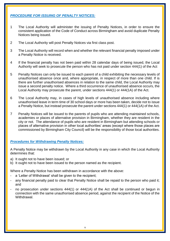# *PROCEDURE FOR ISSUING OF PENALTY NOTICES:*

- 1 The Local Authority will administer the issuing of Penalty Notices, in order to ensure the consistent application of the Code of Conduct across Birmingham and avoid duplicate Penalty Notices being issued.
- 2 The Local Authority will post Penalty Notices via first class post.
- 3 The Local Authority will record when and whether the relevant financial penalty imposed under a Penalty Notice is received.
- 4 If the financial penalty has not been paid within 28 calendar days of being issued, the Local Authority will seek to prosecute the person who has not paid under section 444(1) of the Act
- 5 Penalty Notices can only be issued to each parent of a child exhibiting the necessary levels of unauthorised absence once and, where appropriate, in respect of more than one child. If is there are further unauthorised absences in relation to the same child, the Local Authority may issue a second penalty notice. Where a third occurrence of unauthorised absence occurs, the Local Authority may prosecute the parent, under sections 444(1) or 444(1A) of the Act.
- 6 The Local Authority may, in cases of high levels of unauthorised absence including where unauthorised leave in term time of 30 school days or more has been taken, decide not to issue a Penalty Notice, but instead prosecute the parent under sections 444(1) or 444(1A) of the Act.
- 7 Penalty Notices will be issued to the parents of pupils who are attending maintained schools, academies or places of alternative provision in Birmingham, whether they are resident in the city or not. The attendance of pupils who are resident in Birmingham but attending schools or places of alternative provision in other local authorities' areas (except where those places are commissioned by Birmingham City Council) will be the responsibility of those local authorities.

# *Procedures for Withdrawing Penalty Notices:*

A Penalty Notice may be withdrawn by the Local Authority in any case in which the Local Authority determines that:

- a) It ought not to have been issued; or
- b) It ought not to have been issued to the person named as the recipient.

Where a Penalty Notice has been withdrawn in accordance with the above:

- a 'Letter of Withdrawal' shall be given to the recipient:
- any financial penalty paid to clear that Penalty Notice shall be repaid to the person who paid it; and
- no prosecution under sections 444(1) or 444(1A) of the Act shall be continued or begun in connection with the same unauthorised absence period, against the recipient of the Notice of the **Withdrawal**